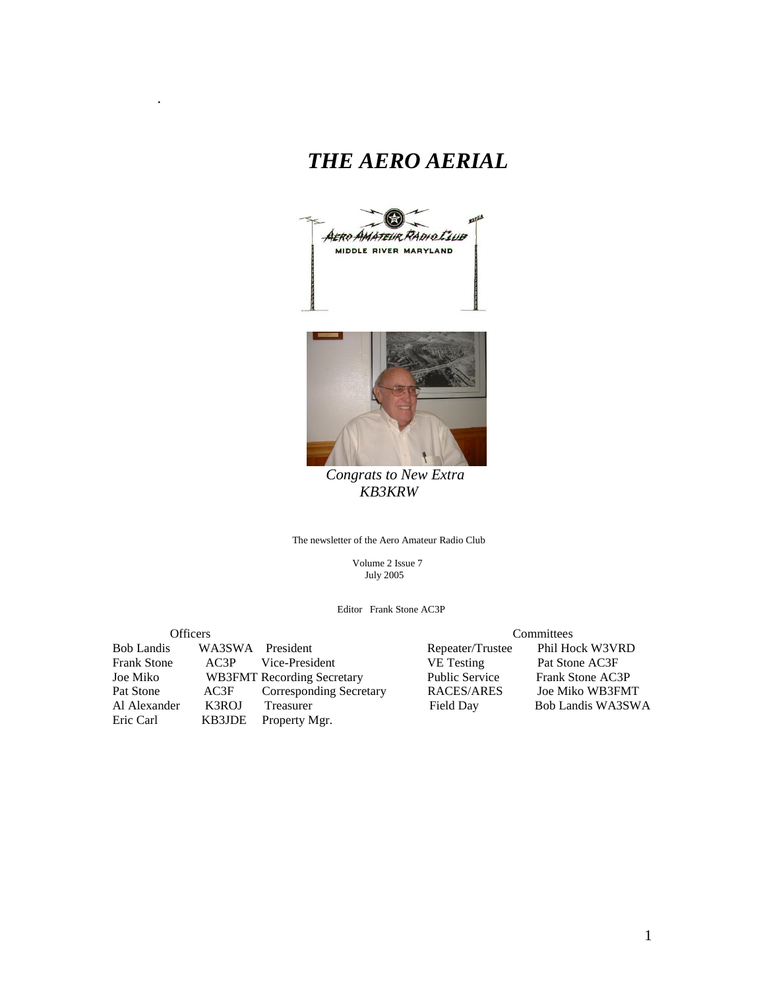# *THE AERO AERIAL*

.





 *Congrats to New Extra KB3KRW*

The newsletter of the Aero Amateur Radio Club

 Volume 2 Issue 7 July 2005

Editor Frank Stone AC3P

| <b>Officers</b>    |        |                                   | Committees            |                   |  |
|--------------------|--------|-----------------------------------|-----------------------|-------------------|--|
| <b>Bob Landis</b>  |        | WA3SWA President                  | Repeater/Trustee      | Phil Hock W3VRD   |  |
| <b>Frank Stone</b> | AC3P   | Vice-President                    | <b>VE</b> Testing     | Pat Stone AC3F    |  |
| Joe Miko           |        | <b>WB3FMT</b> Recording Secretary | <b>Public Service</b> | Frank Stone AC3P  |  |
| Pat Stone          | AC3F   | <b>Corresponding Secretary</b>    | RACES/ARES            | Joe Miko WB3FMT   |  |
| Al Alexander       | K3ROJ  | Treasurer                         | Field Day             | Bob Landis WA3SWA |  |
| Eric Carl          | KB3JDE | Property Mgr.                     |                       |                   |  |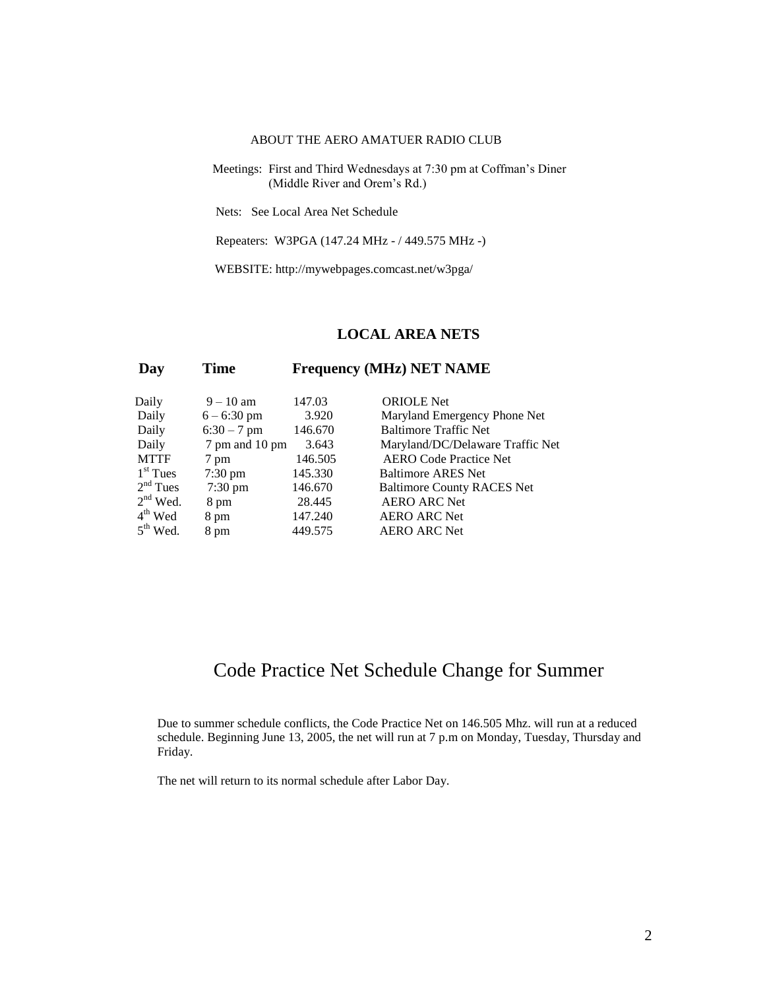#### ABOUT THE AERO AMATUER RADIO CLUB

 Meetings: First and Third Wednesdays at 7:30 pm at Coffman's Diner (Middle River and Orem's Rd.)

Nets: See Local Area Net Schedule

Repeaters: W3PGA (147.24 MHz - / 449.575 MHz -)

WEBSITE: http://mywebpages.comcast.net/w3pga/

#### **LOCAL AREA NETS**

### **Day Time Frequency (MHz) NET NAME**

| Daily       | $9 - 10$ am       | 147.03  | <b>ORIOLE</b> Net                 |
|-------------|-------------------|---------|-----------------------------------|
| Daily       | $6 - 6:30$ pm     | 3.920   | Maryland Emergency Phone Net      |
| Daily       | $6:30 - 7$ pm     | 146.670 | <b>Baltimore Traffic Net</b>      |
| Daily       | 7 pm and 10 pm    | 3.643   | Maryland/DC/Delaware Traffic Net  |
| <b>MTTF</b> | 7 pm              | 146.505 | <b>AERO Code Practice Net</b>     |
| $1st$ Tues  | 7:30 pm           | 145.330 | <b>Baltimore ARES Net</b>         |
| $2nd$ Tues  | $7:30 \text{ pm}$ | 146.670 | <b>Baltimore County RACES Net</b> |
| $2nd$ Wed.  | 8 pm              | 28.445  | <b>AERO ARC Net</b>               |
| $4th$ Wed   | 8 pm              | 147.240 | <b>AERO ARC Net</b>               |
| $5th$ Wed.  | 8 pm              | 449.575 | <b>AERO ARC Net</b>               |

## Code Practice Net Schedule Change for Summer

Due to summer schedule conflicts, the Code Practice Net on 146.505 Mhz. will run at a reduced schedule. Beginning June 13, 2005, the net will run at 7 p.m on Monday, Tuesday, Thursday and Friday.

The net will return to its normal schedule after Labor Day.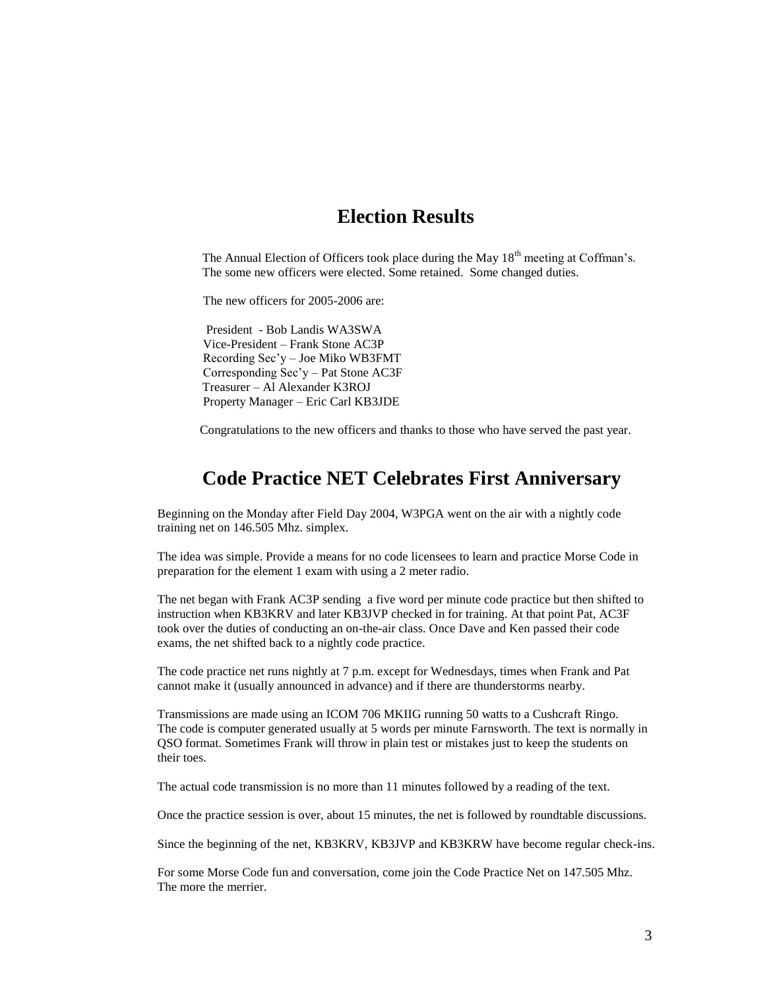## **Election Results**

The Annual Election of Officers took place during the May 18<sup>th</sup> meeting at Coffman's. The some new officers were elected. Some retained. Some changed duties.

The new officers for 2005-2006 are:

 President - Bob Landis WA3SWA Vice-President – Frank Stone AC3P Recording Sec'y – Joe Miko WB3FMT Corresponding Sec'y – Pat Stone AC3F Treasurer – Al Alexander K3ROJ Property Manager – Eric Carl KB3JDE

Congratulations to the new officers and thanks to those who have served the past year.

## **Code Practice NET Celebrates First Anniversary**

Beginning on the Monday after Field Day 2004, W3PGA went on the air with a nightly code training net on 146.505 Mhz. simplex.

The idea was simple. Provide a means for no code licensees to learn and practice Morse Code in preparation for the element 1 exam with using a 2 meter radio.

The net began with Frank AC3P sending a five word per minute code practice but then shifted to instruction when KB3KRV and later KB3JVP checked in for training. At that point Pat, AC3F took over the duties of conducting an on-the-air class. Once Dave and Ken passed their code exams, the net shifted back to a nightly code practice.

The code practice net runs nightly at 7 p.m. except for Wednesdays, times when Frank and Pat cannot make it (usually announced in advance) and if there are thunderstorms nearby.

Transmissions are made using an ICOM 706 MKIIG running 50 watts to a Cushcraft Ringo. The code is computer generated usually at 5 words per minute Farnsworth. The text is normally in QSO format. Sometimes Frank will throw in plain test or mistakes just to keep the students on their toes.

The actual code transmission is no more than 11 minutes followed by a reading of the text.

Once the practice session is over, about 15 minutes, the net is followed by roundtable discussions.

Since the beginning of the net, KB3KRV, KB3JVP and KB3KRW have become regular check-ins.

For some Morse Code fun and conversation, come join the Code Practice Net on 147.505 Mhz. The more the merrier.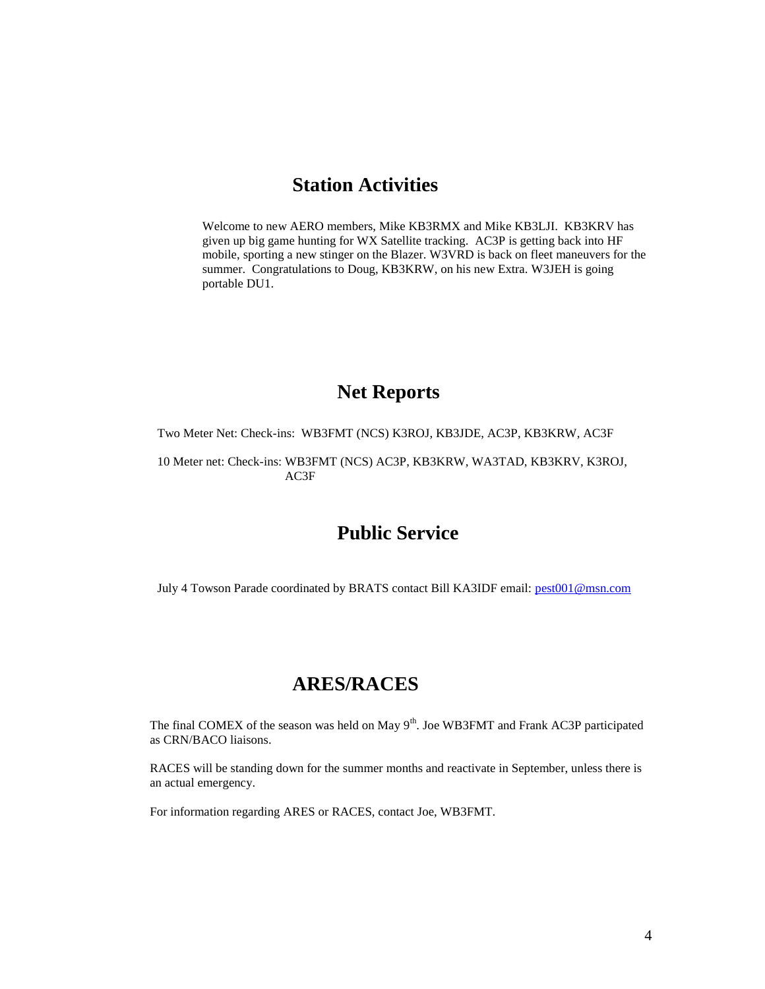## **Station Activities**

Welcome to new AERO members, Mike KB3RMX and Mike KB3LJI. KB3KRV has given up big game hunting for WX Satellite tracking. AC3P is getting back into HF mobile, sporting a new stinger on the Blazer. W3VRD is back on fleet maneuvers for the summer. Congratulations to Doug, KB3KRW, on his new Extra. W3JEH is going portable DU1.

### **Net Reports**

Two Meter Net: Check-ins: WB3FMT (NCS) K3ROJ, KB3JDE, AC3P, KB3KRW, AC3F

10 Meter net: Check-ins: WB3FMT (NCS) AC3P, KB3KRW, WA3TAD, KB3KRV, K3ROJ, AC3F

## **Public Service**

July 4 Towson Parade coordinated by BRATS contact Bill KA3IDF email: [pest001@msn.com](mailto:pest001@msn.com)

## **ARES/RACES**

The final COMEX of the season was held on May 9<sup>th</sup>. Joe WB3FMT and Frank AC3P participated as CRN/BACO liaisons.

RACES will be standing down for the summer months and reactivate in September, unless there is an actual emergency.

For information regarding ARES or RACES, contact Joe, WB3FMT.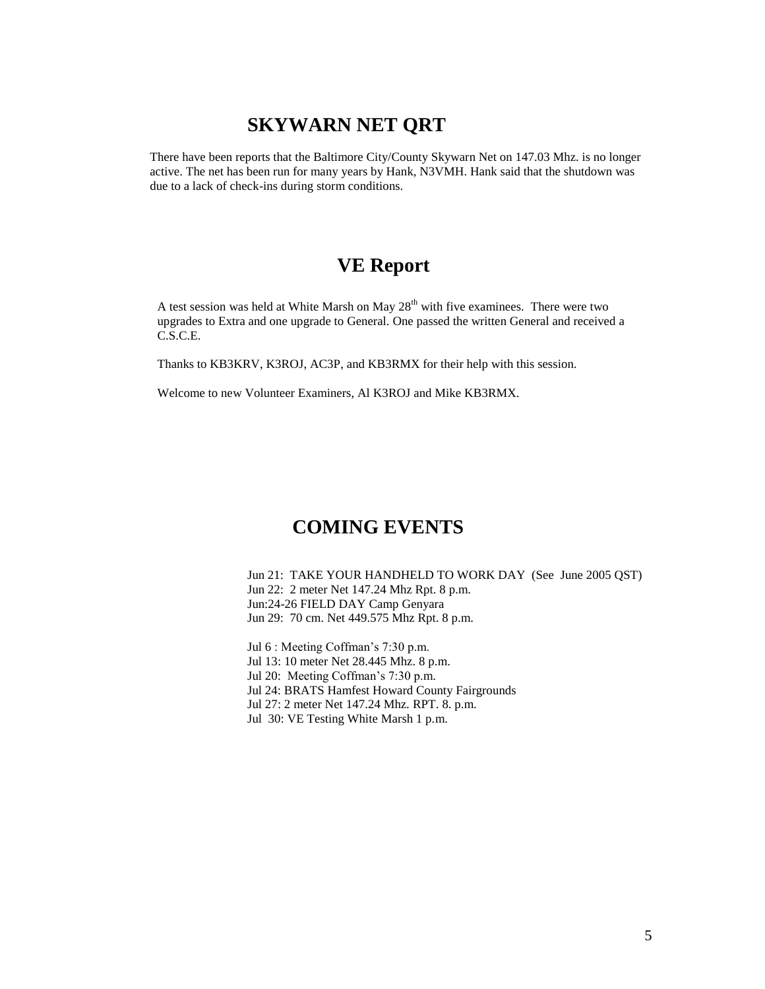## **SKYWARN NET QRT**

There have been reports that the Baltimore City/County Skywarn Net on 147.03 Mhz. is no longer active. The net has been run for many years by Hank, N3VMH. Hank said that the shutdown was due to a lack of check-ins during storm conditions.

## **VE Report**

A test session was held at White Marsh on May  $28<sup>th</sup>$  with five examinees. There were two upgrades to Extra and one upgrade to General. One passed the written General and received a C.S.C.E.

Thanks to KB3KRV, K3ROJ, AC3P, and KB3RMX for their help with this session.

Welcome to new Volunteer Examiners, Al K3ROJ and Mike KB3RMX.

## **COMING EVENTS**

Jun 21: TAKE YOUR HANDHELD TO WORK DAY (See June 2005 QST) Jun 22: 2 meter Net 147.24 Mhz Rpt. 8 p.m. Jun:24-26 FIELD DAY Camp Genyara Jun 29: 70 cm. Net 449.575 Mhz Rpt. 8 p.m.

Jul 6 : Meeting Coffman's 7:30 p.m. Jul 13: 10 meter Net 28.445 Mhz. 8 p.m. Jul 20: Meeting Coffman's 7:30 p.m. Jul 24: BRATS Hamfest Howard County Fairgrounds Jul 27: 2 meter Net 147.24 Mhz. RPT. 8. p.m. Jul 30: VE Testing White Marsh 1 p.m.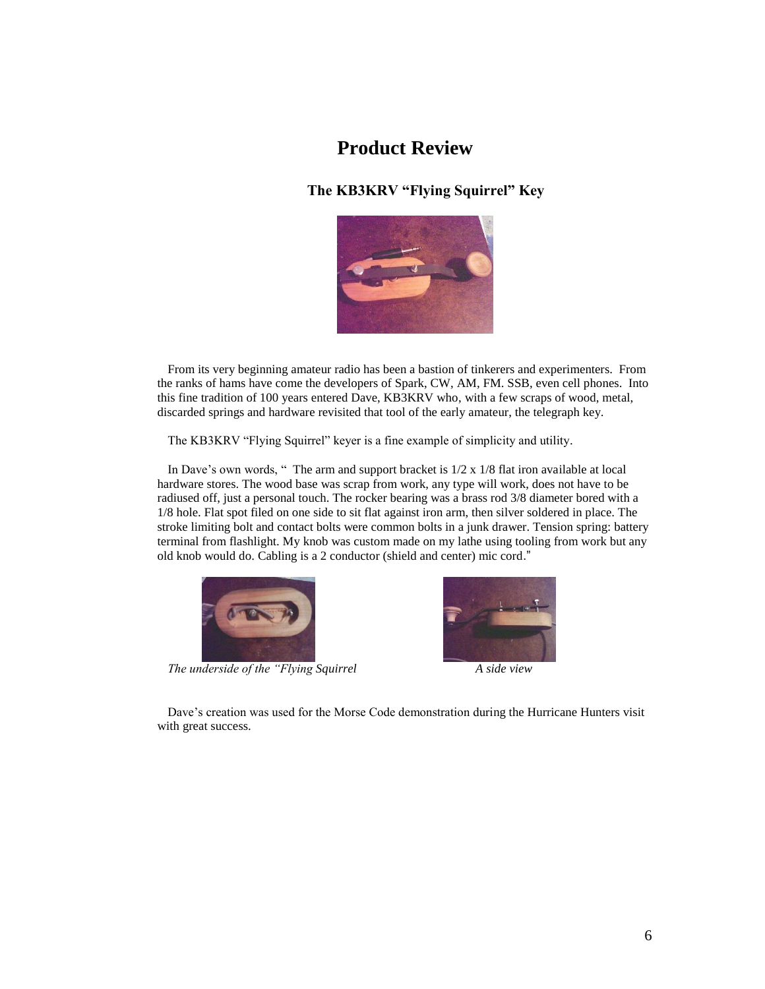## **Product Review**

### **The KB3KRV "Flying Squirrel" Key**



From its very beginning amateur radio has been a bastion of tinkerers and experimenters. From the ranks of hams have come the developers of Spark, CW, AM, FM. SSB, even cell phones. Into this fine tradition of 100 years entered Dave, KB3KRV who, with a few scraps of wood, metal, discarded springs and hardware revisited that tool of the early amateur, the telegraph key.

The KB3KRV "Flying Squirrel" keyer is a fine example of simplicity and utility.

In Dave's own words, " The arm and support bracket is 1/2 x 1/8 flat iron available at local hardware stores. The wood base was scrap from work, any type will work, does not have to be radiused off, just a personal touch. The rocker bearing was a brass rod 3/8 diameter bored with a 1/8 hole. Flat spot filed on one side to sit flat against iron arm, then silver soldered in place. The stroke limiting bolt and contact bolts were common bolts in a junk drawer. Tension spring: battery terminal from flashlight. My knob was custom made on my lathe using tooling from work but any old knob would do. Cabling is a 2 conductor (shield and center) mic cord."



*The underside of the "Flying Squirrel A side view*



Dave's creation was used for the Morse Code demonstration during the Hurricane Hunters visit with great success.